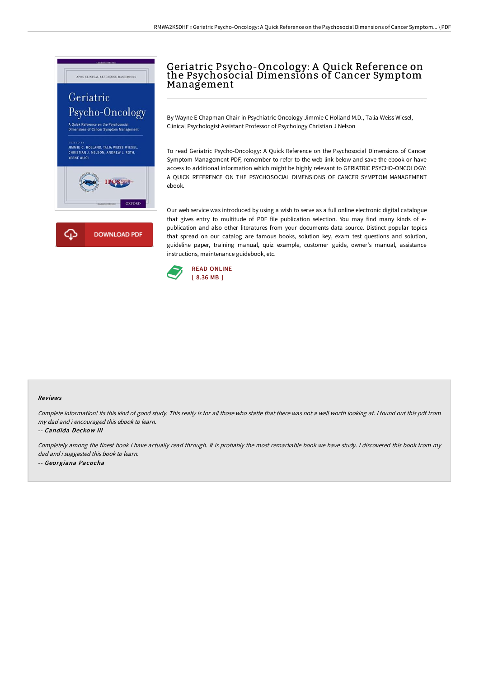

# Geriatric Psycho-Oncology: A Quick Reference on the Psychosocial Dimensions of Cancer Symptom Management

By Wayne E Chapman Chair in Psychiatric Oncology Jimmie C Holland M.D., Talia Weiss Wiesel, Clinical Psychologist Assistant Professor of Psychology Christian J Nelson

To read Geriatric Psycho-Oncology: A Quick Reference on the Psychosocial Dimensions of Cancer Symptom Management PDF, remember to refer to the web link below and save the ebook or have access to additional information which might be highly relevant to GERIATRIC PSYCHO-ONCOLOGY: A QUICK REFERENCE ON THE PSYCHOSOCIAL DIMENSIONS OF CANCER SYMPTOM MANAGEMENT ebook.

Our web service was introduced by using a wish to serve as a full online electronic digital catalogue that gives entry to multitude of PDF file publication selection. You may find many kinds of epublication and also other literatures from your documents data source. Distinct popular topics that spread on our catalog are famous books, solution key, exam test questions and solution, guideline paper, training manual, quiz example, customer guide, owner's manual, assistance instructions, maintenance guidebook, etc.



#### Reviews

Complete information! Its this kind of good study. This really is for all those who statte that there was not <sup>a</sup> well worth looking at. <sup>I</sup> found out this pdf from my dad and i encouraged this ebook to learn.

-- Candida Deckow III

Completely among the finest book <sup>I</sup> have actually read through. It is probably the most remarkable book we have study. <sup>I</sup> discovered this book from my dad and i suggested this book to learn. -- Georgiana Pacocha